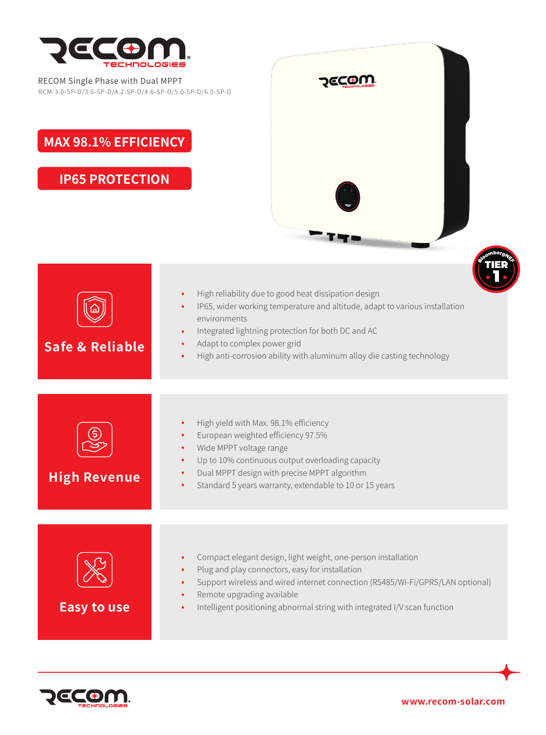

## RECOM Single Phase with Dual MPPT RCM-3.0-SP-D/3.6-SP-D/4.2-SP-D/4.6-SP-D/5.0-SP-D/6.0-SP-D

## **MAX 98.1% EFFICIENCY**

**IP65 PROTECTION**







**www.recom-solar.com**